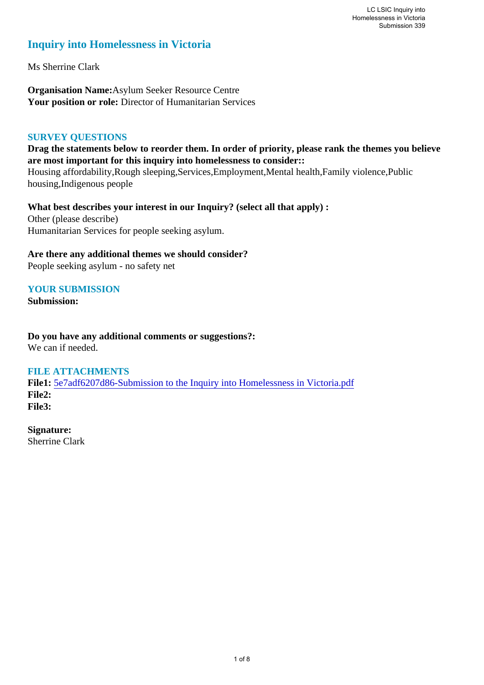# **Inquiry into Homelessness in Victoria**

Ms Sherrine Clark

**Organisation Name:**Asylum Seeker Resource Centre **Your position or role:** Director of Humanitarian Services

## **SURVEY QUESTIONS**

**Drag the statements below to reorder them. In order of priority, please rank the themes you believe are most important for this inquiry into homelessness to consider::** 

Housing affordability,Rough sleeping,Services,Employment,Mental health,Family violence,Public housing,Indigenous people

**What best describes your interest in our Inquiry? (select all that apply) :**  Other (please describe) Humanitarian Services for people seeking asylum.

**Are there any additional themes we should consider?**

People seeking asylum - no safety net

## **YOUR SUBMISSION**

**Submission:** 

**Do you have any additional comments or suggestions?:**  We can if needed.

#### **FILE ATTACHMENTS**

**File1:** 5e7adf6207d86-Submission to the Inquiry into Homelessness in Victoria.pdf **File2: File3:** 

**Signature:** Sherrine Clark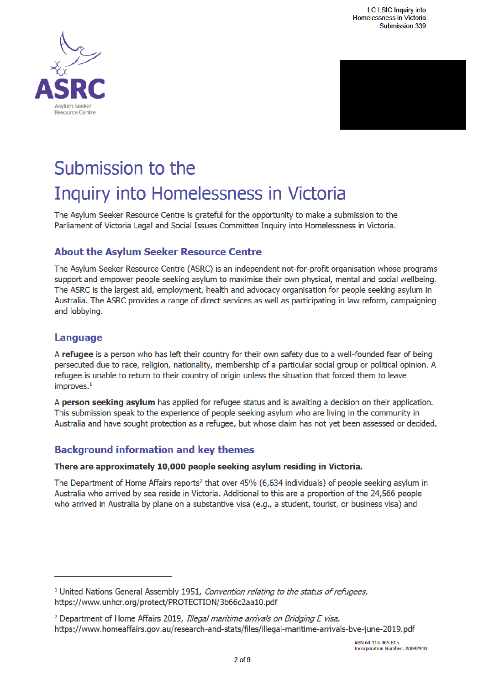



# Submission to the Inquiry into Homelessness in Victoria

The Asylum Seeker Resource Centre is grateful for the opportunity to make a submission to the Parliament of Victoria Legal and Social Issues Committee Inquiry into Homelessness in Victoria.

# **About the Asylum Seeker Resource Centre**

The Asylum Seeker Resource Centre (ASRC) is an independent not-for-profit organisation whose programs support and empower people seeking asylum to maximise their own physical, mental and social wellbeing. The ASRC is the largest aid, employment, health and advocacy organisation for people seeking asylum in Australia. The ASRC provides a range of direct services as well as participating in law reform, campaigning and lobbying.

# Language

A refugee is a person who has left their country for their own safety due to a well-founded fear of being persecuted due to race, religion, nationality, membership of a particular social group or political opinion. A refugee is unable to return to their country of origin unless the situation that forced them to leave improves. $<sup>1</sup>$ </sup>

A **person seeking asylum** has applied for refugee status and is awaiting a decision on their application. This submission speak to the experience of people seeking asylum who are living in the community in Australia and have sought protection as a refugee, but whose claim has not yet been assessed or decided.

# **Background information and key themes**

## There are approximately 10,000 people seeking asylum residing in Victoria.

The Department of Home Affairs reports<sup>2</sup> that over 45% (6,634 individuals) of people seeking asylum in Australia who arrived by sea reside in Victoria. Additional to this are a proportion of the 24,566 people who arrived in Australia by plane on a substantive visa (e.g., a student, tourist, or business visa) and

<sup>&</sup>lt;sup>1</sup> United Nations General Assembly 1951, Convention relating to the status of refugees, https://www.unhcr.org/protect/PROTECTION/3b66c2aa10.pdf

<sup>&</sup>lt;sup>2</sup> Department of Home Affairs 2019, Illegal maritime arrivals on Bridging E visa, https://www.homeaffairs.gov.au/research-and-stats/files/illegal-maritime-arrivals-bve-june-2019.pdf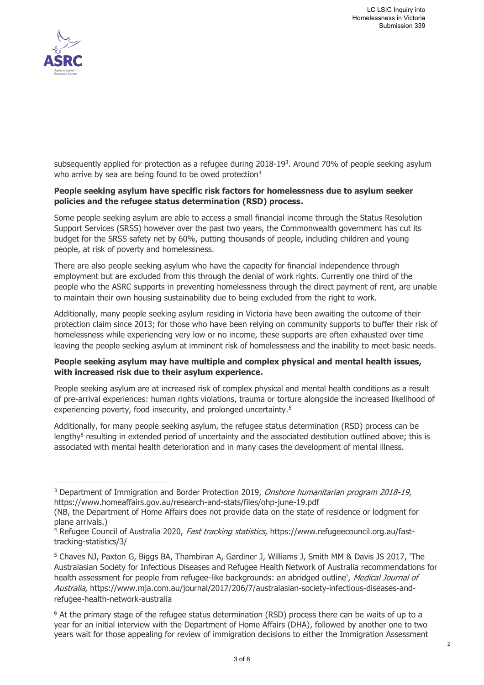

subsequently applied for protection as a refugee during  $2018-19<sup>3</sup>$ . Around 70% of people seeking asylum who arrive by sea are being found to be owed protection<sup>4</sup>

#### **People seeking asylum have specific risk factors for homelessness due to asylum seeker policies and the refugee status determination (RSD) process.**

Some people seeking asylum are able to access a small financial income through the Status Resolution Support Services (SRSS) however over the past two years, the Commonwealth government has cut its budget for the SRSS safety net by 60%, putting thousands of people, including children and young people, at risk of poverty and homelessness.

There are also people seeking asylum who have the capacity for financial independence through employment but are excluded from this through the denial of work rights. Currently one third of the people who the ASRC supports in preventing homelessness through the direct payment of rent, are unable to maintain their own housing sustainability due to being excluded from the right to work.

Additionally, many people seeking asylum residing in Victoria have been awaiting the outcome of their protection claim since 2013; for those who have been relying on community supports to buffer their risk of homelessness while experiencing very low or no income, these supports are often exhausted over time leaving the people seeking asylum at imminent risk of homelessness and the inability to meet basic needs.

#### **People seeking asylum may have multiple and complex physical and mental health issues, with increased risk due to their asylum experience.**

People seeking asylum are at increased risk of complex physical and mental health conditions as a result of pre-arrival experiences: human rights violations, trauma or torture alongside the increased likelihood of experiencing poverty, food insecurity, and prolonged uncertainty.<sup>5</sup>

Additionally, for many people seeking asylum, the refugee status determination (RSD) process can be lengthy<sup>6</sup> resulting in extended period of uncertainty and the associated destitution outlined above; this is associated with mental health deterioration and in many cases the development of mental illness.

j <sup>3</sup> Department of Immigration and Border Protection 2019, *Onshore humanitarian program 2018-19,* https://www.homeaffairs.gov.au/research-and-stats/files/ohp-june-19.pdf

<sup>(</sup>NB, the Department of Home Affairs does not provide data on the state of residence or lodgment for plane arrivals.)

<sup>&</sup>lt;sup>4</sup> Refugee Council of Australia 2020, *Fast tracking statistics,* https://www.refugeecouncil.org.au/fasttracking-statistics/3/

<sup>5</sup> Chaves NJ, Paxton G, Biggs BA, Thambiran A, Gardiner J, Williams J, Smith MM & Davis JS 2017, 'The Australasian Society for Infectious Diseases and Refugee Health Network of Australia recommendations for health assessment for people from refugee-like backgrounds: an abridged outline', Medical Journal of Australia, https://www.mja.com.au/journal/2017/206/7/australasian-society-infectious-diseases-andrefugee-health-network-australia

<sup>&</sup>lt;sup>6</sup> At the primary stage of the refugee status determination (RSD) process there can be waits of up to a year for an initial interview with the Department of Home Affairs (DHA), followed by another one to two years wait for those appealing for review of immigration decisions to either the Immigration Assessment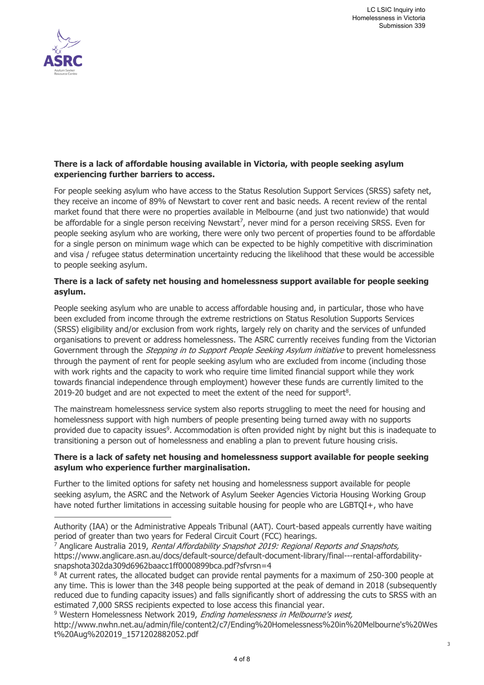3



j

#### **There is a lack of affordable housing available in Victoria, with people seeking asylum experiencing further barriers to access.**

For people seeking asylum who have access to the Status Resolution Support Services (SRSS) safety net, they receive an income of 89% of Newstart to cover rent and basic needs. A recent review of the rental market found that there were no properties available in Melbourne (and just two nationwide) that would be affordable for a single person receiving Newstart<sup>7</sup>, never mind for a person receiving SRSS. Even for people seeking asylum who are working, there were only two percent of properties found to be affordable for a single person on minimum wage which can be expected to be highly competitive with discrimination and visa / refugee status determination uncertainty reducing the likelihood that these would be accessible to people seeking asylum.

#### **There is a lack of safety net housing and homelessness support available for people seeking asylum.**

People seeking asylum who are unable to access affordable housing and, in particular, those who have been excluded from income through the extreme restrictions on Status Resolution Supports Services (SRSS) eligibility and/or exclusion from work rights, largely rely on charity and the services of unfunded organisations to prevent or address homelessness. The ASRC currently receives funding from the Victorian Government through the *Stepping in to Support People Seeking Asylum initiative* to prevent homelessness through the payment of rent for people seeking asylum who are excluded from income (including those with work rights and the capacity to work who require time limited financial support while they work towards financial independence through employment) however these funds are currently limited to the 2019-20 budget and are not expected to meet the extent of the need for support<sup>8</sup>.

The mainstream homelessness service system also reports struggling to meet the need for housing and homelessness support with high numbers of people presenting being turned away with no supports provided due to capacity issues<sup>9</sup>. Accommodation is often provided night by night but this is inadequate to transitioning a person out of homelessness and enabling a plan to prevent future housing crisis.

#### **There is a lack of safety net housing and homelessness support available for people seeking asylum who experience further marginalisation.**

Further to the limited options for safety net housing and homelessness support available for people seeking asylum, the ASRC and the Network of Asylum Seeker Agencies Victoria Housing Working Group have noted further limitations in accessing suitable housing for people who are LGBTQI+, who have

<sup>9</sup> Western Homelessness Network 2019, *Ending homelessness in Melbourne's west,* http://www.nwhn.net.au/admin/file/content2/c7/Ending%20Homelessness%20in%20Melbourne's%20Wes t%20Aug%202019\_1571202882052.pdf

Authority (IAA) or the Administrative Appeals Tribunal (AAT). Court-based appeals currently have waiting period of greater than two years for Federal Circuit Court (FCC) hearings.

<sup>&</sup>lt;sup>7</sup> Anglicare Australia 2019, Rental Affordability Snapshot 2019: Regional Reports and Snapshots, https://www.anglicare.asn.au/docs/default-source/default-document-library/final---rental-affordabilitysnapshota302da309d6962baacc1ff0000899bca.pdf?sfvrsn=4

<sup>&</sup>lt;sup>8</sup> At current rates, the allocated budget can provide rental payments for a maximum of 250-300 people at any time. This is lower than the 348 people being supported at the peak of demand in 2018 (subsequently reduced due to funding capacity issues) and falls significantly short of addressing the cuts to SRSS with an estimated 7,000 SRSS recipients expected to lose access this financial year.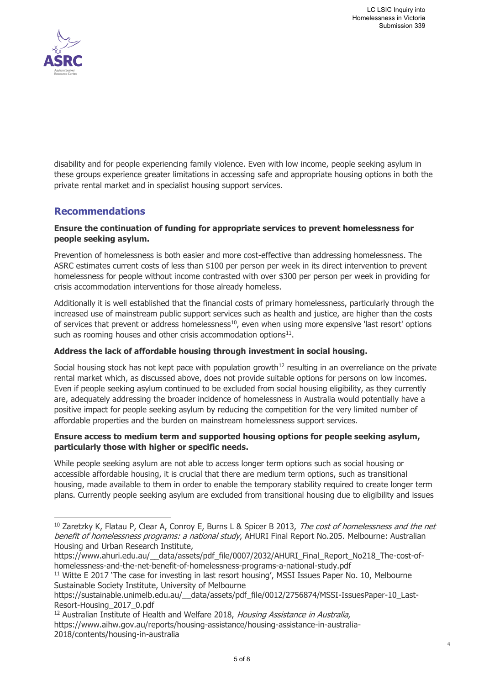4



j

disability and for people experiencing family violence. Even with low income, people seeking asylum in these groups experience greater limitations in accessing safe and appropriate housing options in both the private rental market and in specialist housing support services.

## **Recommendations**

#### **Ensure the continuation of funding for appropriate services to prevent homelessness for people seeking asylum.**

Prevention of homelessness is both easier and more cost-effective than addressing homelessness. The ASRC estimates current costs of less than \$100 per person per week in its direct intervention to prevent homelessness for people without income contrasted with over \$300 per person per week in providing for crisis accommodation interventions for those already homeless.

Additionally it is well established that the financial costs of primary homelessness, particularly through the increased use of mainstream public support services such as health and justice, are higher than the costs of services that prevent or address homelessness<sup>10</sup>, even when using more expensive 'last resort' options such as rooming houses and other crisis accommodation options $^{11}$ .

## **Address the lack of affordable housing through investment in social housing.**

Social housing stock has not kept pace with population growth<sup>12</sup> resulting in an overreliance on the private rental market which, as discussed above, does not provide suitable options for persons on low incomes. Even if people seeking asylum continued to be excluded from social housing eligibility, as they currently are, adequately addressing the broader incidence of homelessness in Australia would potentially have a positive impact for people seeking asylum by reducing the competition for the very limited number of affordable properties and the burden on mainstream homelessness support services.

#### **Ensure access to medium term and supported housing options for people seeking asylum, particularly those with higher or specific needs.**

While people seeking asylum are not able to access longer term options such as social housing or accessible affordable housing, it is crucial that there are medium term options, such as transitional housing, made available to them in order to enable the temporary stability required to create longer term plans. Currently people seeking asylum are excluded from transitional housing due to eligibility and issues

<sup>&</sup>lt;sup>10</sup> Zaretzky K, Flatau P, Clear A, Conroy E, Burns L & Spicer B 2013, The cost of homelessness and the net benefit of homelessness programs: a national study, AHURI Final Report No.205. Melbourne: Australian Housing and Urban Research Institute,

https://www.ahuri.edu.au/\_\_data/assets/pdf\_file/0007/2032/AHURI\_Final\_Report\_No218\_The-cost-ofhomelessness-and-the-net-benefit-of-homelessness-programs-a-national-study.pdf

<sup>&</sup>lt;sup>11</sup> Witte E 2017 'The case for investing in last resort housing', MSSI Issues Paper No. 10, Melbourne Sustainable Society Institute, University of Melbourne

https://sustainable.unimelb.edu.au/\_\_data/assets/pdf\_file/0012/2756874/MSSI-IssuesPaper-10\_Last-Resort-Housing\_2017\_0.pdf

<sup>&</sup>lt;sup>12</sup> Australian Institute of Health and Welfare 2018, Housing Assistance in Australia,

https://www.aihw.gov.au/reports/housing-assistance/housing-assistance-in-australia-2018/contents/housing-in-australia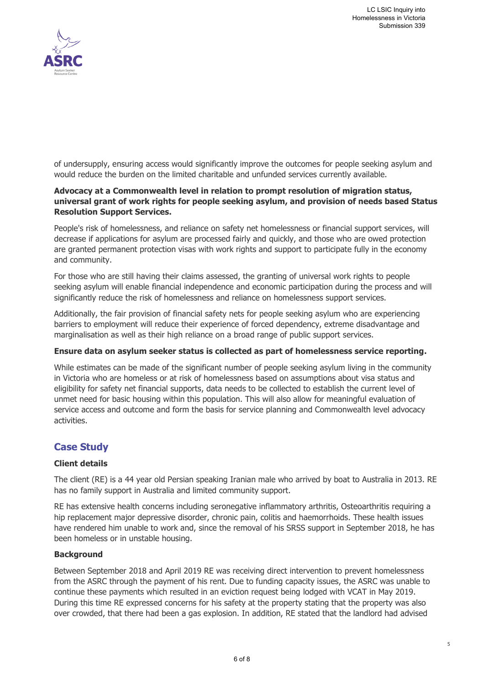

of undersupply, ensuring access would significantly improve the outcomes for people seeking asylum and would reduce the burden on the limited charitable and unfunded services currently available.

#### **Advocacy at a Commonwealth level in relation to prompt resolution of migration status, universal grant of work rights for people seeking asylum, and provision of needs based Status Resolution Support Services.**

People's risk of homelessness, and reliance on safety net homelessness or financial support services, will decrease if applications for asylum are processed fairly and quickly, and those who are owed protection are granted permanent protection visas with work rights and support to participate fully in the economy and community.

For those who are still having their claims assessed, the granting of universal work rights to people seeking asylum will enable financial independence and economic participation during the process and will significantly reduce the risk of homelessness and reliance on homelessness support services.

Additionally, the fair provision of financial safety nets for people seeking asylum who are experiencing barriers to employment will reduce their experience of forced dependency, extreme disadvantage and marginalisation as well as their high reliance on a broad range of public support services.

#### **Ensure data on asylum seeker status is collected as part of homelessness service reporting.**

While estimates can be made of the significant number of people seeking asylum living in the community in Victoria who are homeless or at risk of homelessness based on assumptions about visa status and eligibility for safety net financial supports, data needs to be collected to establish the current level of unmet need for basic housing within this population. This will also allow for meaningful evaluation of service access and outcome and form the basis for service planning and Commonwealth level advocacy activities.

## **Case Study**

#### **Client details**

The client (RE) is a 44 year old Persian speaking Iranian male who arrived by boat to Australia in 2013. RE has no family support in Australia and limited community support.

RE has extensive health concerns including seronegative inflammatory arthritis, Osteoarthritis requiring a hip replacement major depressive disorder, chronic pain, colitis and haemorrhoids. These health issues have rendered him unable to work and, since the removal of his SRSS support in September 2018, he has been homeless or in unstable housing.

#### **Background**

Between September 2018 and April 2019 RE was receiving direct intervention to prevent homelessness from the ASRC through the payment of his rent. Due to funding capacity issues, the ASRC was unable to continue these payments which resulted in an eviction request being lodged with VCAT in May 2019. During this time RE expressed concerns for his safety at the property stating that the property was also over crowded, that there had been a gas explosion. In addition, RE stated that the landlord had advised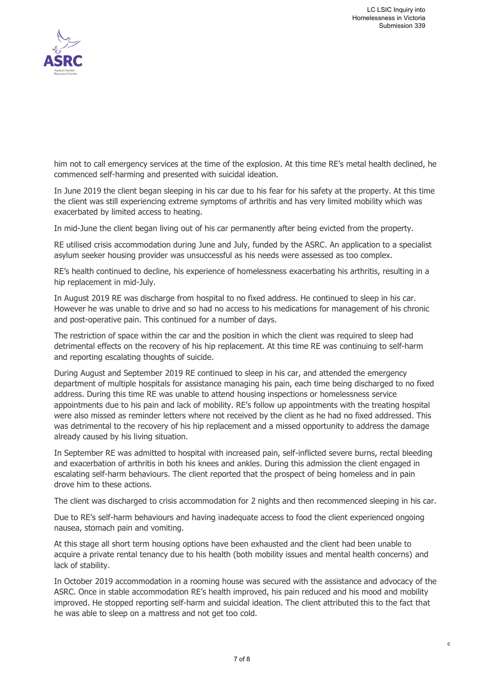

him not to call emergency services at the time of the explosion. At this time RE's metal health declined, he commenced self-harming and presented with suicidal ideation.

In June 2019 the client began sleeping in his car due to his fear for his safety at the property. At this time the client was still experiencing extreme symptoms of arthritis and has very limited mobility which was exacerbated by limited access to heating.

In mid-June the client began living out of his car permanently after being evicted from the property.

RE utilised crisis accommodation during June and July, funded by the ASRC. An application to a specialist asylum seeker housing provider was unsuccessful as his needs were assessed as too complex.

RE's health continued to decline, his experience of homelessness exacerbating his arthritis, resulting in a hip replacement in mid-July.

In August 2019 RE was discharge from hospital to no fixed address. He continued to sleep in his car. However he was unable to drive and so had no access to his medications for management of his chronic and post-operative pain. This continued for a number of days.

The restriction of space within the car and the position in which the client was required to sleep had detrimental effects on the recovery of his hip replacement. At this time RE was continuing to self-harm and reporting escalating thoughts of suicide.

During August and September 2019 RE continued to sleep in his car, and attended the emergency department of multiple hospitals for assistance managing his pain, each time being discharged to no fixed address. During this time RE was unable to attend housing inspections or homelessness service appointments due to his pain and lack of mobility. RE's follow up appointments with the treating hospital were also missed as reminder letters where not received by the client as he had no fixed addressed. This was detrimental to the recovery of his hip replacement and a missed opportunity to address the damage already caused by his living situation.

In September RE was admitted to hospital with increased pain, self-inflicted severe burns, rectal bleeding and exacerbation of arthritis in both his knees and ankles. During this admission the client engaged in escalating self-harm behaviours. The client reported that the prospect of being homeless and in pain drove him to these actions.

The client was discharged to crisis accommodation for 2 nights and then recommenced sleeping in his car.

Due to RE's self-harm behaviours and having inadequate access to food the client experienced ongoing nausea, stomach pain and vomiting.

At this stage all short term housing options have been exhausted and the client had been unable to acquire a private rental tenancy due to his health (both mobility issues and mental health concerns) and lack of stability.

In October 2019 accommodation in a rooming house was secured with the assistance and advocacy of the ASRC. Once in stable accommodation RE's health improved, his pain reduced and his mood and mobility improved. He stopped reporting self-harm and suicidal ideation. The client attributed this to the fact that he was able to sleep on a mattress and not get too cold.